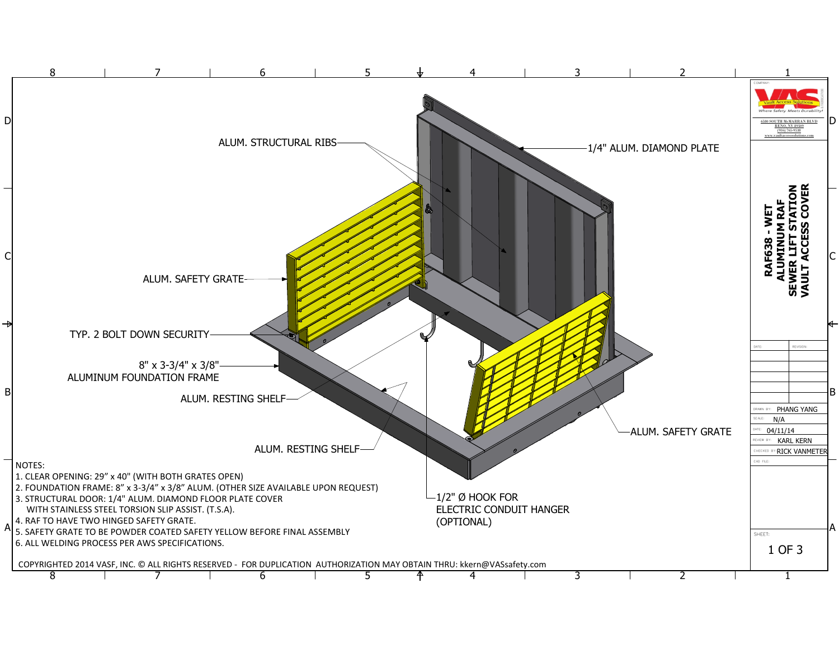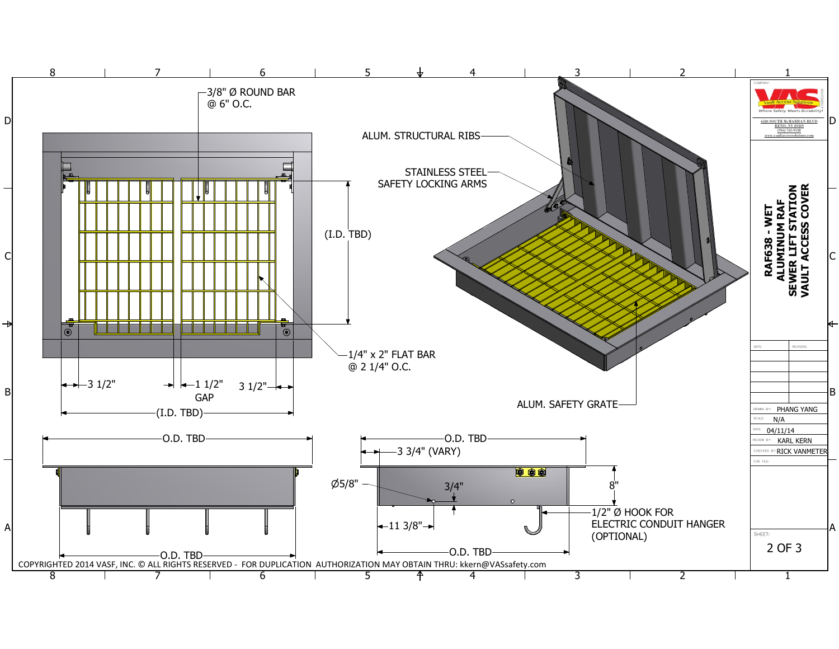